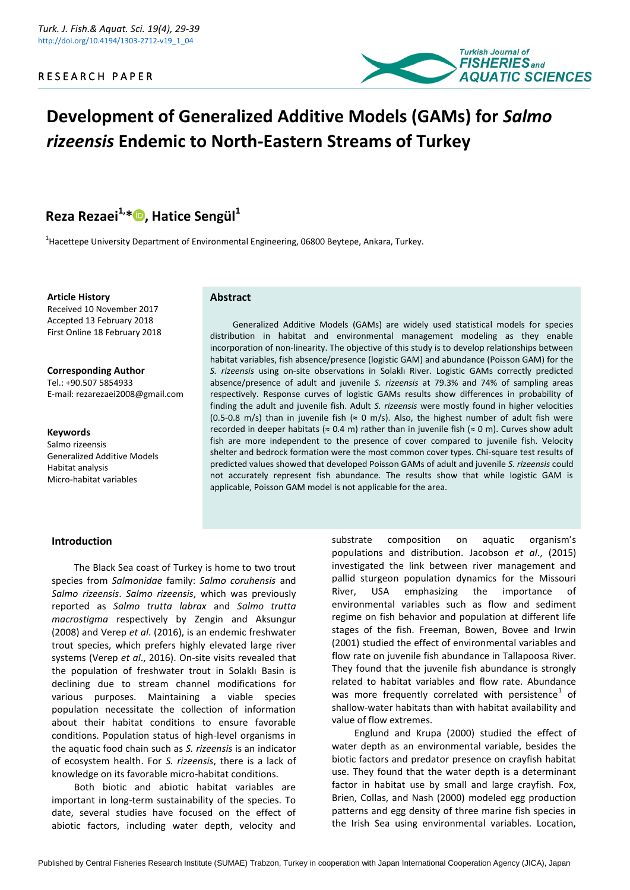

# **Development of Generalized Additive Models (GAMs) for** *Salmo rizeensis* **Endemic to North-Eastern Streams of Turkey**

## **Reza Rezaei1,[\\*](https://orcid.org/0000-0003-1325-7529) , Hatice Sengül<sup>1</sup>**

 $^{1}$ Hacettepe University Department of Environmental Engineering, 06800 Beytepe, Ankara, Turkey.

**Article History** Received 10 November 2017 Accepted 13 February 2018 First Online 18 February 2018

**Corresponding Author** Tel.: +90.507 5854933 E-mail: rezarezaei2008@gmail.com

**Keywords** Salmo rizeensis Generalized Additive Models Habitat analysis Micro-habitat variables

#### **Abstract**

Generalized Additive Models (GAMs) are widely used statistical models for species distribution in habitat and environmental management modeling as they enable incorporation of non-linearity. The objective of this study is to develop relationships between habitat variables, fish absence/presence (logistic GAM) and abundance (Poisson GAM) for the *S. rizeensis* using on-site observations in Solaklı River. Logistic GAMs correctly predicted absence/presence of adult and juvenile *S. rizeensis* at 79.3% and 74% of sampling areas respectively. Response curves of logistic GAMs results show differences in probability of finding the adult and juvenile fish. Adult *S. rizeensis* were mostly found in higher velocities (0.5-0.8 m/s) than in juvenile fish ( $\approx$  0 m/s). Also, the highest number of adult fish were recorded in deeper habitats ( $\approx 0.4$  m) rather than in juvenile fish ( $\approx 0$  m). Curves show adult fish are more independent to the presence of cover compared to juvenile fish. Velocity shelter and bedrock formation were the most common cover types. Chi-square test results of predicted values showed that developed Poisson GAMs of adult and juvenile *S. rizeensis* could not accurately represent fish abundance. The results show that while logistic GAM is applicable, Poisson GAM model is not applicable for the area.

# **Introduction**

The Black Sea coast of Turkey is home to two trout species from *Salmonidae* family: *Salmo coruhensis* and *Salmo rizeensis*. *Salmo rizeensis*, which was previously reported as *Salmo trutta labrax* and *Salmo trutta macrostigma* respectively by Zengin and Aksungur (2008) and Verep *et al*. (2016), is an endemic freshwater trout species, which prefers highly elevated large river systems (Verep *et al*., 2016). On-site visits revealed that the population of freshwater trout in Solaklı Basin is declining due to stream channel modifications for various purposes. Maintaining a viable species population necessitate the collection of information about their habitat conditions to ensure favorable conditions. Population status of high-level organisms in the aquatic food chain such as *S. rizeensis* is an indicator of ecosystem health. For *S. rizeensis*, there is a lack of knowledge on its favorable micro-habitat conditions.

Both biotic and abiotic habitat variables are important in long-term sustainability of the species. To date, several studies have focused on the effect of abiotic factors, including water depth, velocity and

substrate composition on aquatic organism's populations and distribution. Jacobson *et al*., (2015) investigated the link between river management and pallid sturgeon population dynamics for the Missouri River, USA emphasizing the importance of environmental variables such as flow and sediment regime on fish behavior and population at different life stages of the fish. Freeman, Bowen, Bovee and Irwin (2001) studied the effect of environmental variables and flow rate on juvenile fish abundance in Tallapoosa River. They found that the juvenile fish abundance is strongly related to habitat variables and flow rate. Abundance was more frequently correlated with persistence<sup>1</sup> of shallow-water habitats than with habitat availability and value of flow extremes.

Englund and Krupa (2000) studied the effect of water depth as an environmental variable, besides the biotic factors and predator presence on crayfish habitat use. They found that the water depth is a determinant factor in habitat use by small and large crayfish. Fox, Brien, Collas, and Nash (2000) modeled egg production patterns and egg density of three marine fish species in the Irish Sea using environmental variables. Location,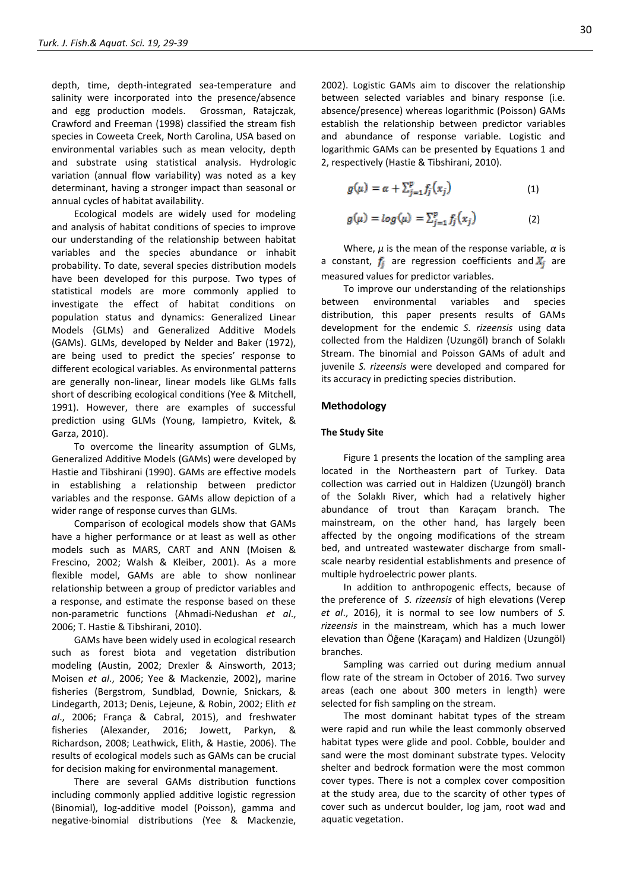depth, time, depth-integrated sea-temperature and salinity were incorporated into the presence/absence and egg production models. Grossman, Ratajczak, Crawford and Freeman (1998) classified the stream fish species in Coweeta Creek, North Carolina, USA based on environmental variables such as mean velocity, depth and substrate using statistical analysis. Hydrologic variation (annual flow variability) was noted as a key determinant, having a stronger impact than seasonal or annual cycles of habitat availability.

Ecological models are widely used for modeling and analysis of habitat conditions of species to improve our understanding of the relationship between habitat variables and the species abundance or inhabit probability. To date, several species distribution models have been developed for this purpose. Two types of statistical models are more commonly applied to investigate the effect of habitat conditions on population status and dynamics: Generalized Linear Models (GLMs) and Generalized Additive Models (GAMs). GLMs, developed by Nelder and Baker (1972), are being used to predict the species' response to different ecological variables. As environmental patterns are generally non-linear, linear models like GLMs falls short of describing ecological conditions (Yee & Mitchell, 1991). However, there are examples of successful prediction using GLMs (Young, Iampietro, Kvitek, & Garza, 2010).

To overcome the linearity assumption of GLMs, Generalized Additive Models (GAMs) were developed by Hastie and Tibshirani (1990). GAMs are effective models in establishing a relationship between predictor variables and the response. GAMs allow depiction of a wider range of response curves than GLMs.

Comparison of ecological models show that GAMs have a higher performance or at least as well as other models such as MARS, CART and ANN (Moisen & Frescino, 2002; Walsh & Kleiber, 2001). As a more flexible model, GAMs are able to show nonlinear relationship between a group of predictor variables and a response, and estimate the response based on these non-parametric functions (Ahmadi-Nedushan *et al*., 2006; T. Hastie & Tibshirani, 2010).

GAMs have been widely used in ecological research such as forest biota and vegetation distribution modeling (Austin, 2002; Drexler & Ainsworth, 2013; Moisen *et al*., 2006; Yee & Mackenzie, 2002)**,** marine fisheries (Bergstrom, Sundblad, Downie, Snickars, & Lindegarth, 2013; Denis, Lejeune, & Robin, 2002; Elith *et al*., 2006; França & Cabral, 2015), and freshwater fisheries (Alexander, 2016; Jowett, Parkyn, & Richardson, 2008; Leathwick, Elith, & Hastie, 2006). The results of ecological models such as GAMs can be crucial for decision making for environmental management.

There are several GAMs distribution functions including commonly applied additive logistic regression (Binomial), log-additive model (Poisson), gamma and negative-binomial distributions (Yee & Mackenzie,

2002). Logistic GAMs aim to discover the relationship between selected variables and binary response (i.e. absence/presence) whereas logarithmic (Poisson) GAMs establish the relationship between predictor variables and abundance of response variable. Logistic and logarithmic GAMs can be presented by Equations 1 and 2, respectively (Hastie & Tibshirani, 2010).

$$
g(\mu) = \alpha + \sum_{j=1}^{p} f_j(x_j)
$$
 (1)

$$
g(\mu) = \log(\mu) = \sum_{j=1}^{p} f_j(x_j)
$$
 (2)

Where, *μ* is the mean of the response variable, *α* is a constant,  $f_j$  are regression coefficients and  $X_j$  are measured values for predictor variables.

To improve our understanding of the relationships between environmental variables and species distribution, this paper presents results of GAMs development for the endemic *S. rizeensis* using data collected from the Haldizen (Uzungöl) branch of Solaklı Stream. The binomial and Poisson GAMs of adult and juvenile *S. rizeensis* were developed and compared for its accuracy in predicting species distribution.

#### **Methodology**

#### **The Study Site**

[Figure 1](#page-2-0) presents the location of the sampling area located in the Northeastern part of Turkey. Data collection was carried out in Haldizen (Uzungöl) branch of the Solaklı River, which had a relatively higher abundance of trout than Karaçam branch. The mainstream, on the other hand, has largely been affected by the ongoing modifications of the stream bed, and untreated wastewater discharge from smallscale nearby residential establishments and presence of multiple hydroelectric power plants.

In addition to anthropogenic effects, because of the preference of *S. rizeensis* of high elevations (Verep *et al*., 2016), it is normal to see low numbers of *S. rizeensis* in the mainstream, which has a much lower elevation than Öğene (Karaçam) and Haldizen (Uzungöl) branches.

Sampling was carried out during medium annual flow rate of the stream in October of 2016. Two survey areas (each one about 300 meters in length) were selected for fish sampling on the stream.

The most dominant habitat types of the stream were rapid and run while the least commonly observed habitat types were glide and pool. Cobble, boulder and sand were the most dominant substrate types. Velocity shelter and bedrock formation were the most common cover types. There is not a complex cover composition at the study area, due to the scarcity of other types of cover such as undercut boulder, log jam, root wad and aquatic vegetation.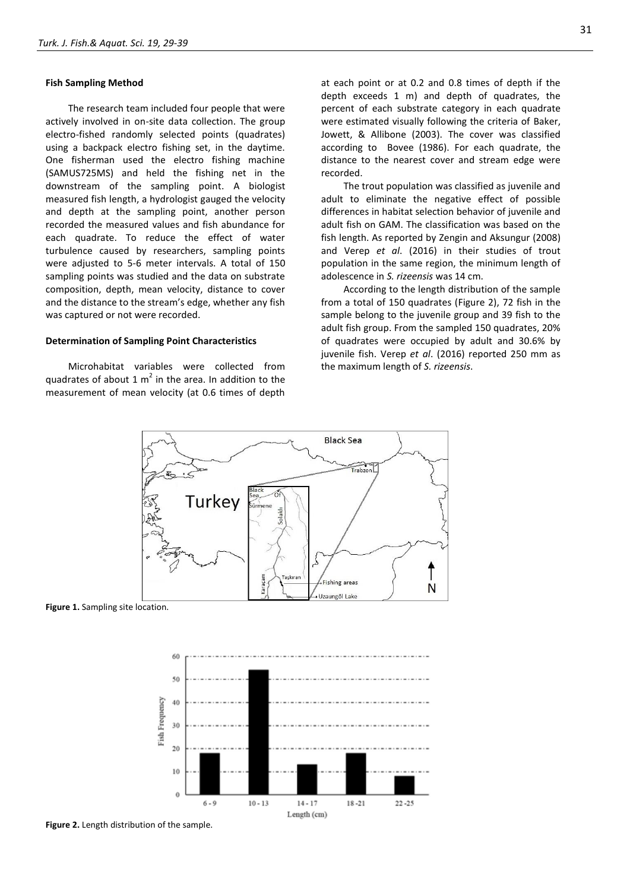#### **Fish Sampling Method**

The research team included four people that were actively involved in on-site data collection. The group electro-fished randomly selected points (quadrates) using a backpack electro fishing set, in the daytime. One fisherman used the electro fishing machine (SAMUS725MS) and held the fishing net in the downstream of the sampling point. A biologist measured fish length, a hydrologist gauged the velocity and depth at the sampling point, another person recorded the measured values and fish abundance for each quadrate. To reduce the effect of water turbulence caused by researchers, sampling points were adjusted to 5-6 meter intervals. A total of 150 sampling points was studied and the data on substrate composition, depth, mean velocity, distance to cover and the distance to the stream's edge, whether any fish was captured or not were recorded.

#### **Determination of Sampling Point Characteristics**

Microhabitat variables were collected from quadrates of about 1  $m^2$  in the area. In addition to the measurement of mean velocity (at 0.6 times of depth

at each point or at 0.2 and 0.8 times of depth if the depth exceeds 1 m) and depth of quadrates, the percent of each substrate category in each quadrate were estimated visually following the criteria of Baker, Jowett, & Allibone (2003). The cover was classified according to Bovee (1986). For each quadrate, the distance to the nearest cover and stream edge were recorded.

The trout population was classified as juvenile and adult to eliminate the negative effect of possible differences in habitat selection behavior of juvenile and adult fish on GAM. The classification was based on the fish length. As reported by Zengin and Aksungur (2008) and Verep *et al*. (2016) in their studies of trout population in the same region, the minimum length of adolescence in *S. rizeensis* was 14 cm.

According to the length distribution of the sample from a total of 150 quadrates [\(Figure 2\)](#page-2-1), 72 fish in the sample belong to the juvenile group and 39 fish to the adult fish group. From the sampled 150 quadrates, 20% of quadrates were occupied by adult and 30.6% by juvenile fish. Verep *et al*. (2016) reported 250 mm as the maximum length of *S. rizeensis*.



<span id="page-2-0"></span>**Figure 1.** Sampling site location.



<span id="page-2-1"></span>**Figure 2.** Length distribution of the sample.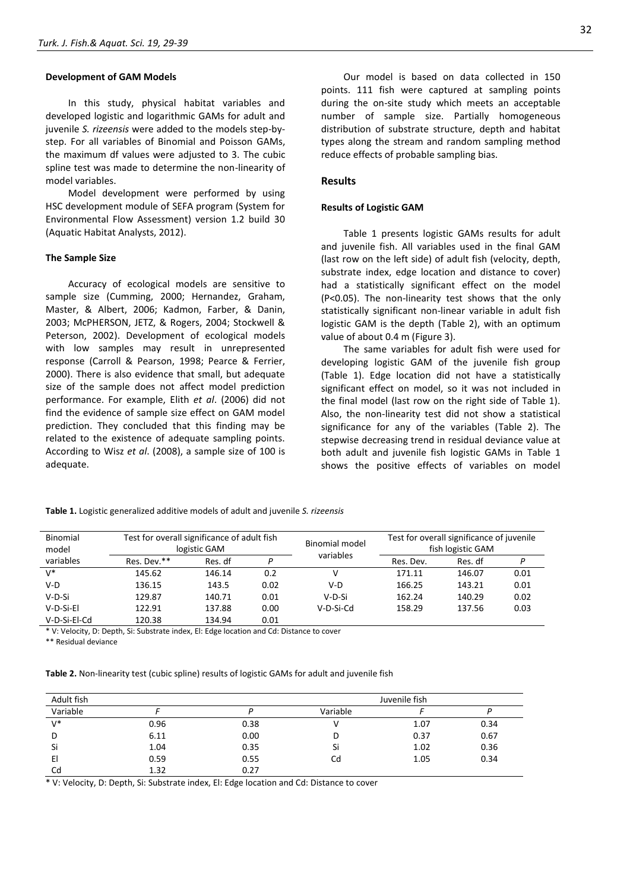#### **Development of GAM Models**

In this study, physical habitat variables and developed logistic and logarithmic GAMs for adult and juvenile *S. rizeensis* were added to the models step-bystep. For all variables of Binomial and Poisson GAMs, the maximum df values were adjusted to 3. The cubic spline test was made to determine the non-linearity of model variables.

Model development were performed by using HSC development module of SEFA program (System for Environmental Flow Assessment) version 1.2 build 30 (Aquatic Habitat Analysts, 2012).

#### **The Sample Size**

Accuracy of ecological models are sensitive to sample size (Cumming, 2000; Hernandez, Graham, Master, & Albert, 2006; Kadmon, Farber, & Danin, 2003; McPHERSON, JETZ, & Rogers, 2004; Stockwell & Peterson, 2002). Development of ecological models with low samples may result in unrepresented response (Carroll & Pearson, 1998; Pearce & Ferrier, 2000). There is also evidence that small, but adequate size of the sample does not affect model prediction performance. For example, Elith *et al*. (2006) did not find the evidence of sample size effect on GAM model prediction. They concluded that this finding may be related to the existence of adequate sampling points. According to Wisz *et al*. (2008), a sample size of 100 is adequate.

Our model is based on data collected in 150 points. 111 fish were captured at sampling points during the on-site study which meets an acceptable number of sample size. Partially homogeneous distribution of substrate structure, depth and habitat types along the stream and random sampling method reduce effects of probable sampling bias.

### **Results**

#### **Results of Logistic GAM**

[Table 1](#page-3-0) presents logistic GAMs results for adult and juvenile fish. All variables used in the final GAM (last row on the left side) of adult fish (velocity, depth, substrate index, edge location and distance to cover) had a statistically significant effect on the model (P<0.05). The non-linearity test shows that the only statistically significant non-linear variable in adult fish logistic GAM is the depth [\(Table 2\)](#page-3-1), with an optimum value of about 0.4 m [\(Figure 3\)](#page-4-0).

The same variables for adult fish were used for developing logistic GAM of the juvenile fish group (Table 1). Edge location did not have a statistically significant effect on model, so it was not included in the final model (last row on the right side of Table 1). Also, the non-linearity test did not show a statistical significance for any of the variables [\(Table 2\)](#page-3-1). The stepwise decreasing trend in residual deviance value at both adult and juvenile fish logistic GAMs in Table 1 shows the positive effects of variables on model

<span id="page-3-0"></span>

| Binomial<br>model | Test for overall significance of adult fish<br>logistic GAM |         |      | Binomial model<br>variables | Test for overall significance of juvenile<br>fish logistic GAM |         |      |
|-------------------|-------------------------------------------------------------|---------|------|-----------------------------|----------------------------------------------------------------|---------|------|
| variables         | Res. Dev.**                                                 | Res. df | D    |                             | Res. Dev.                                                      | Res. df | P    |
| $V^*$             | 145.62                                                      | 146.14  | 0.2  | v                           | 171.11                                                         | 146.07  | 0.01 |
| $V-D$             | 136.15                                                      | 143.5   | 0.02 | V-D                         | 166.25                                                         | 143.21  | 0.01 |
| V-D-Si            | 129.87                                                      | 140.71  | 0.01 | V-D-Si                      | 162.24                                                         | 140.29  | 0.02 |
| V-D-Si-El         | 122.91                                                      | 137.88  | 0.00 | V-D-Si-Cd                   | 158.29                                                         | 137.56  | 0.03 |
| V-D-Si-El-Cd      | 120.38                                                      | 134.94  | 0.01 |                             |                                                                |         |      |

\* V: Velocity, D: Depth, Si: Substrate index, El: Edge location and Cd: Distance to cover

\*\* Residual deviance

<span id="page-3-1"></span>**Table 2.** Non-linearity test (cubic spline) results of logistic GAMs for adult and juvenile fish

| Adult fish |      |      | Juvenile fish |      |      |
|------------|------|------|---------------|------|------|
| Variable   |      |      | Variable      |      |      |
| $V^*$      | 0.96 | 0.38 |               | 1.07 | 0.34 |
| D          | 6.11 | 0.00 |               | 0.37 | 0.67 |
| Si         | 1.04 | 0.35 | Si            | 1.02 | 0.36 |
| E          | 0.59 | 0.55 | Cd            | 1.05 | 0.34 |
| Cd         | 1.32 | 0.27 |               |      |      |

\* V: Velocity, D: Depth, Si: Substrate index, El: Edge location and Cd: Distance to cover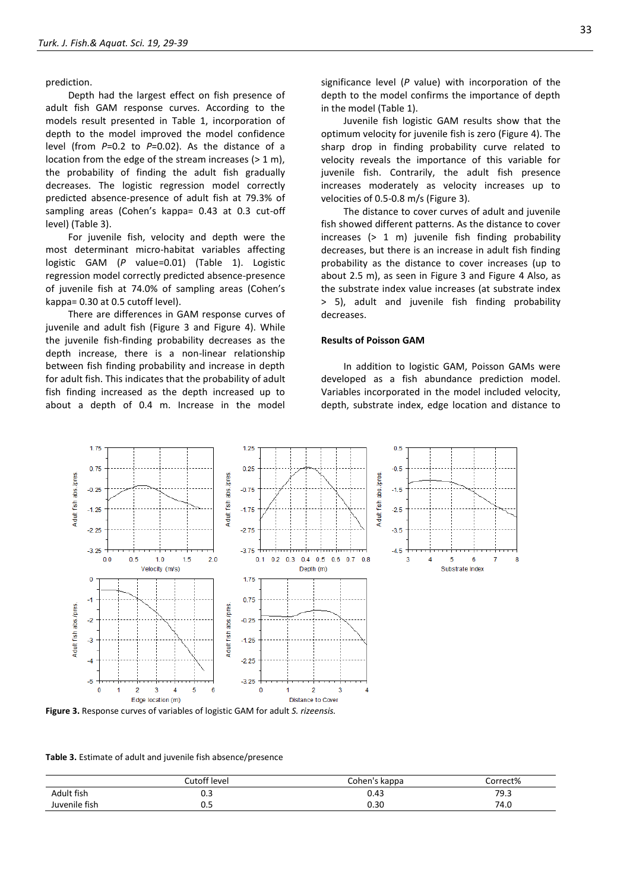prediction.

Depth had the largest effect on fish presence of adult fish GAM response curves. According to the models result presented in Table 1, incorporation of depth to the model improved the model confidence level (from *P*=0.2 to *P*=0.02). As the distance of a location from the edge of the stream increases (> 1 m), the probability of finding the adult fish gradually decreases. The logistic regression model correctly predicted absence-presence of adult fish at 79.3% of sampling areas (Cohen's kappa= 0.43 at 0.3 cut-off level) (Table 3).

For juvenile fish, velocity and depth were the most determinant micro-habitat variables affecting logistic GAM (*P* value=0.01) (Table 1). Logistic regression model correctly predicted absence-presence of juvenile fish at 74.0% of sampling areas (Cohen's kappa= 0.30 at 0.5 cutoff level).

There are differences in GAM response curves of juvenile and adult fish [\(Figure 3](#page-4-0) and [Figure 4\)](#page-5-0). While the juvenile fish-finding probability decreases as the depth increase, there is a non-linear relationship between fish finding probability and increase in depth for adult fish. This indicates that the probability of adult fish finding increased as the depth increased up to about a depth of 0.4 m. Increase in the model

significance level (*P* value) with incorporation of the depth to the model confirms the importance of depth in the model (Table 1).

Juvenile fish logistic GAM results show that the optimum velocity for juvenile fish is zero (Figure 4). The sharp drop in finding probability curve related to velocity reveals the importance of this variable for juvenile fish. Contrarily, the adult fish presence increases moderately as velocity increases up to velocities of 0.5-0.8 m/s (Figure 3).

The distance to cover curves of adult and juvenile fish showed different patterns. As the distance to cover increases (> 1 m) juvenile fish finding probability decreases, but there is an increase in adult fish finding probability as the distance to cover increases (up to about 2.5 m), as seen in Figure 3 and Figure 4 Also, as the substrate index value increases (at substrate index > 5), adult and juvenile fish finding probability decreases.

#### **Results of Poisson GAM**

In addition to logistic GAM, Poisson GAMs were developed as a fish abundance prediction model. Variables incorporated in the model included velocity, depth, substrate index, edge location and distance to



<span id="page-4-0"></span>**Figure 3.** Response curves of variables of logistic GAM for adult *S. rizeensis.*

**Table 3.** Estimate of adult and juvenile fish absence/presence

|               | Cutoff level | Cohen's kappa | correct% |
|---------------|--------------|---------------|----------|
| Adult fish    | ບ.ບ          | 0.43          | 79.3     |
| Juvenile fish | ບ.ບ          | 0.30          | 74.0     |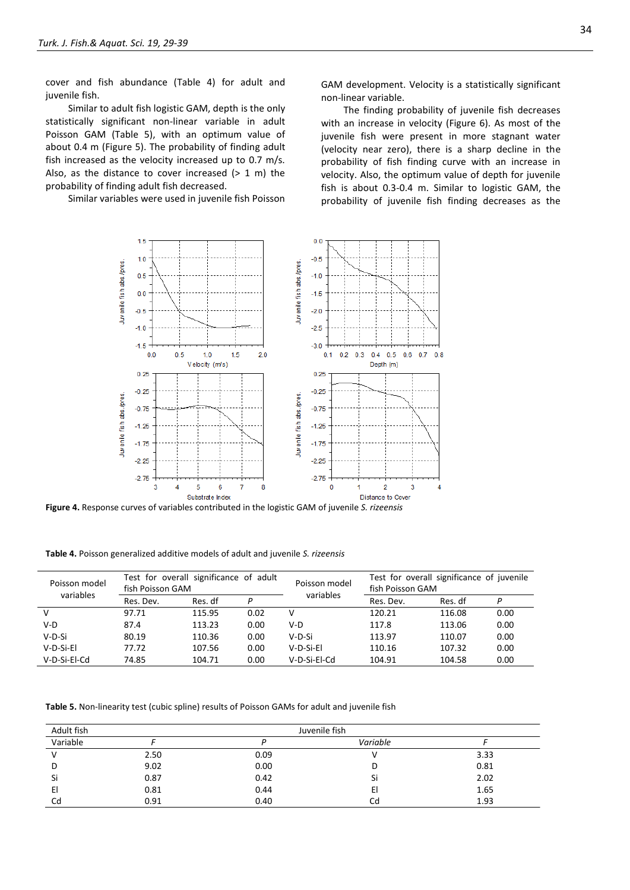cover and fish abundance [\(Table 4\)](#page-5-1) for adult and juvenile fish.

Similar to adult fish logistic GAM, depth is the only statistically significant non-linear variable in adult Poisson GAM [\(Table 5\)](#page-5-2), with an optimum value of about 0.4 m [\(Figure 5\)](#page-6-0). The probability of finding adult fish increased as the velocity increased up to 0.7 m/s. Also, as the distance to cover increased  $(> 1 \text{ m})$  the probability of finding adult fish decreased.

Similar variables were used in juvenile fish Poisson

GAM development. Velocity is a statistically significant non-linear variable.

The finding probability of juvenile fish decreases with an increase in velocity (Figure 6). As most of the juvenile fish were present in more stagnant water (velocity near zero), there is a sharp decline in the probability of fish finding curve with an increase in velocity. Also, the optimum value of depth for juvenile fish is about 0.3-0.4 m. Similar to logistic GAM, the probability of juvenile fish finding decreases as the



<span id="page-5-0"></span>**Figure 4.** Response curves of variables contributed in the logistic GAM of juvenile *S. rizeensis*

<span id="page-5-1"></span>**Table 4.** Poisson generalized additive models of adult and juvenile *S. rizeensis*

| Poisson model<br>variables | Test for overall significance of adult<br>fish Poisson GAM |         |      | Poisson model<br>variables | Test for overall significance of juvenile<br>fish Poisson GAM |         |      |
|----------------------------|------------------------------------------------------------|---------|------|----------------------------|---------------------------------------------------------------|---------|------|
|                            | Res. Dev.                                                  | Res. df | D    |                            | Res. Dev.                                                     | Res. df | Р    |
| V                          | 97.71                                                      | 115.95  | 0.02 | v                          | 120.21                                                        | 116.08  | 0.00 |
| $V-D$                      | 87.4                                                       | 113.23  | 0.00 | V-D                        | 117.8                                                         | 113.06  | 0.00 |
| $V-D-Si$                   | 80.19                                                      | 110.36  | 0.00 | V-D-Si                     | 113.97                                                        | 110.07  | 0.00 |
| V-D-Si-El                  | 77.72                                                      | 107.56  | 0.00 | V-D-Si-El                  | 110.16                                                        | 107.32  | 0.00 |
| V-D-Si-El-Cd               | 74.85                                                      | 104.71  | 0.00 | V-D-Si-El-Cd               | 104.91                                                        | 104.58  | 0.00 |

<span id="page-5-2"></span>**Table 5.** Non-linearity test (cubic spline) results of Poisson GAMs for adult and juvenile fish

| Adult fish | Juvenile fish |      |          |      |  |  |
|------------|---------------|------|----------|------|--|--|
| Variable   |               |      | Variable |      |  |  |
|            | 2.50          | 0.09 |          | 3.33 |  |  |
| D          | 9.02          | 0.00 |          | 0.81 |  |  |
| Si         | 0.87          | 0.42 | Sı       | 2.02 |  |  |
| El         | 0.81          | 0.44 | El       | 1.65 |  |  |
| Cd         | 0.91          | 0.40 | Cd       | 1.93 |  |  |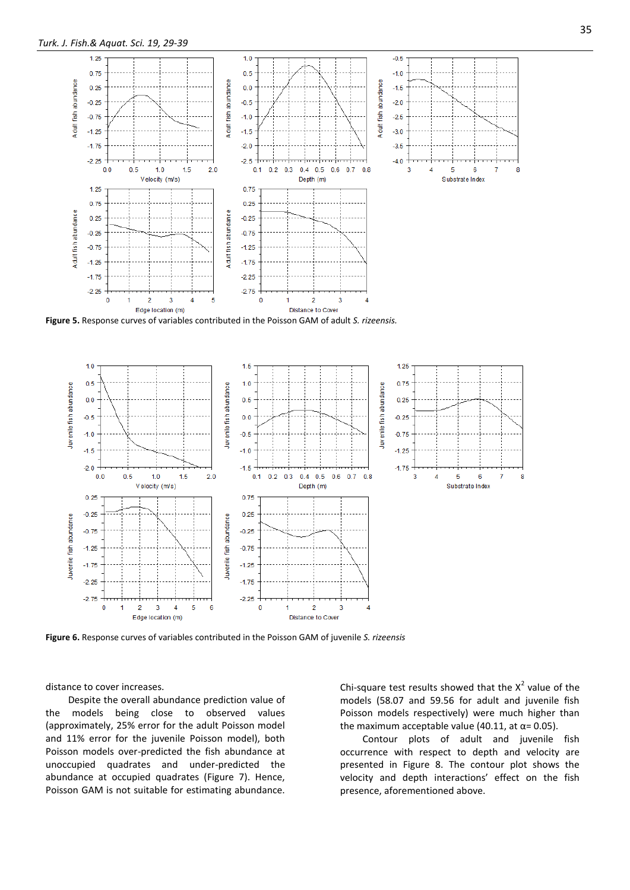

<span id="page-6-0"></span>**Figure 5.** Response curves of variables contributed in the Poisson GAM of adult *S. rizeensis.*



**Figure 6.** Response curves of variables contributed in the Poisson GAM of juvenile *S. rizeensis*

distance to cover increases.

Despite the overall abundance prediction value of the models being close to observed values (approximately, 25% error for the adult Poisson model and 11% error for the juvenile Poisson model), both Poisson models over-predicted the fish abundance at unoccupied quadrates and under-predicted the abundance at occupied quadrates (Figure 7). Hence, Poisson GAM is not suitable for estimating abundance. Chi-square test results showed that the  $X^2$  value of the models (58.07 and 59.56 for adult and juvenile fish Poisson models respectively) were much higher than the maximum acceptable value (40.11, at  $\alpha$ = 0.05).

Contour plots of adult and juvenile fish occurrence with respect to depth and velocity are presented in Figure 8. The contour plot shows the velocity and depth interactions' effect on the fish presence, aforementioned above.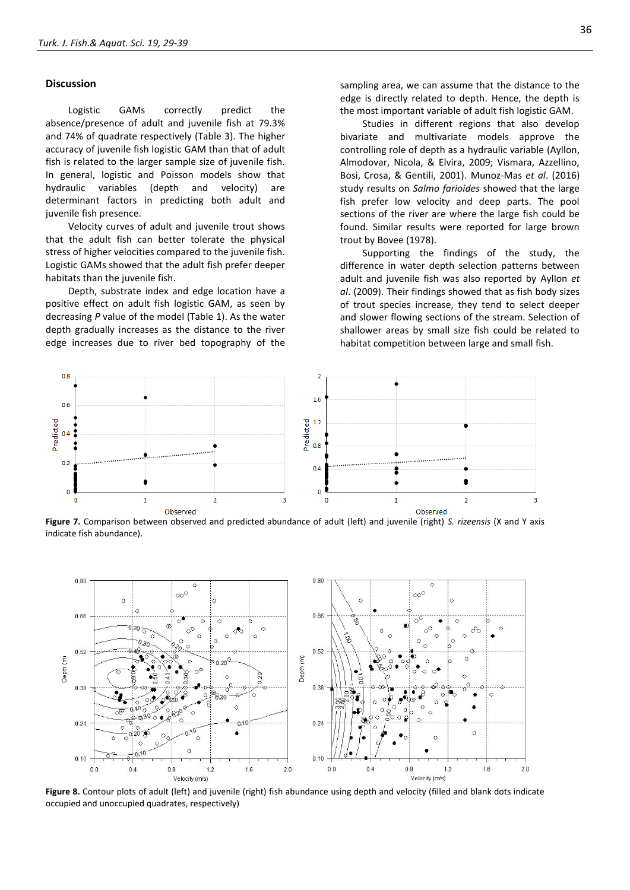#### **Discussion**

Logistic GAMs correctly predict the absence/presence of adult and juvenile fish at 79.3% and 74% of quadrate respectively (Table 3). The higher accuracy of juvenile fish logistic GAM than that of adult fish is related to the larger sample size of juvenile fish. In general, logistic and Poisson models show that hydraulic variables (depth and velocity) are determinant factors in predicting both adult and juvenile fish presence.

Velocity curves of adult and juvenile trout shows that the adult fish can better tolerate the physical stress of higher velocities compared to the juvenile fish. Logistic GAMs showed that the adult fish prefer deeper habitats than the juvenile fish.

Depth, substrate index and edge location have a positive effect on adult fish logistic GAM, as seen by decreasing *P* value of the model (Table 1). As the water depth gradually increases as the distance to the river edge increases due to river bed topography of the sampling area, we can assume that the distance to the edge is directly related to depth. Hence, the depth is the most important variable of adult fish logistic GAM.

Studies in different regions that also develop bivariate and multivariate models approve the controlling role of depth as a hydraulic variable (Ayllon, Almodovar, Nicola, & Elvira, 2009; Vismara, Azzellino, Bosi, Crosa, & Gentili, 2001). Munoz-Mas *et al*. (2016) study results on *Salmo farioides* showed that the large fish prefer low velocity and deep parts. The pool sections of the river are where the large fish could be found. Similar results were reported for large brown trout by Bovee (1978).

Supporting the findings of the study, the difference in water depth selection patterns between adult and juvenile fish was also reported by Ayllon *et al*. (2009). Their findings showed that as fish body sizes of trout species increase, they tend to select deeper and slower flowing sections of the stream. Selection of shallower areas by small size fish could be related to habitat competition between large and small fish.



**Figure 7.** Comparison between observed and predicted abundance of adult (left) and juvenile (right) *S. rizeensis* (X and Y axis indicate fish abundance).



**Figure 8.** Contour plots of adult (left) and juvenile (right) fish abundance using depth and velocity (filled and blank dots indicate occupied and unoccupied quadrates, respectively)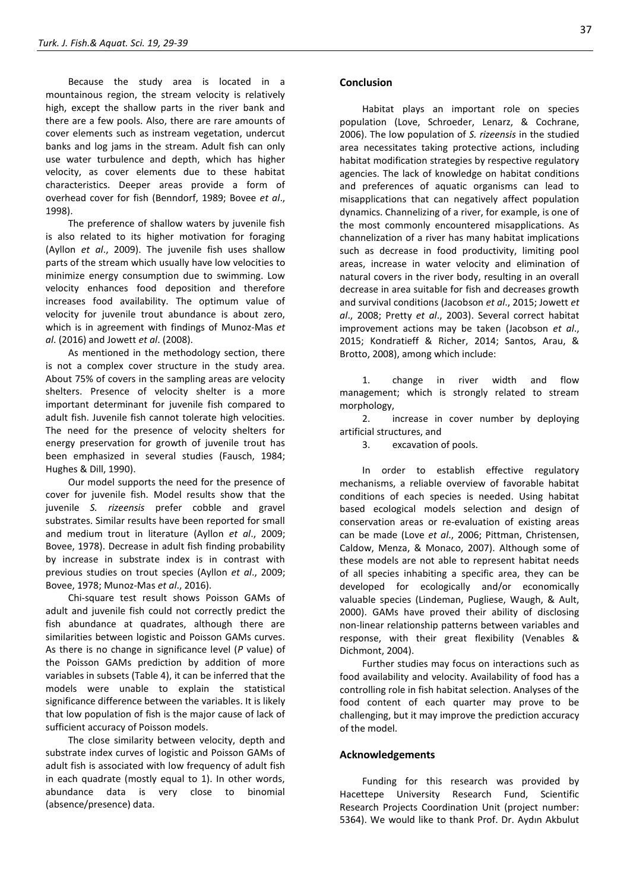Because the study area is located in a mountainous region, the stream velocity is relatively high, except the shallow parts in the river bank and there are a few pools. Also, there are rare amounts of cover elements such as instream vegetation, undercut banks and log jams in the stream. Adult fish can only use water turbulence and depth, which has higher velocity, as cover elements due to these habitat characteristics. Deeper areas provide a form of overhead cover for fish (Benndorf, 1989; Bovee *et al*., 1998).

The preference of shallow waters by juvenile fish is also related to its higher motivation for foraging (Ayllon *et al*., 2009). The juvenile fish uses shallow parts of the stream which usually have low velocities to minimize energy consumption due to swimming. Low velocity enhances food deposition and therefore increases food availability. The optimum value of velocity for juvenile trout abundance is about zero, which is in agreement with findings of Munoz-Mas *et al*. (2016) and Jowett *et al*. (2008).

As mentioned in the methodology section, there is not a complex cover structure in the study area. About 75% of covers in the sampling areas are velocity shelters. Presence of velocity shelter is a more important determinant for juvenile fish compared to adult fish. Juvenile fish cannot tolerate high velocities. The need for the presence of velocity shelters for energy preservation for growth of juvenile trout has been emphasized in several studies (Fausch, 1984; Hughes & Dill, 1990).

Our model supports the need for the presence of cover for juvenile fish. Model results show that the juvenile *S. rizeensis* prefer cobble and gravel substrates. Similar results have been reported for small and medium trout in literature (Ayllon *et al*., 2009; Bovee, 1978). Decrease in adult fish finding probability by increase in substrate index is in contrast with previous studies on trout species (Ayllon *et al*., 2009; Bovee, 1978; Munoz-Mas *et al*., 2016).

Chi-square test result shows Poisson GAMs of adult and juvenile fish could not correctly predict the fish abundance at quadrates, although there are similarities between logistic and Poisson GAMs curves. As there is no change in significance level (*P* value) of the Poisson GAMs prediction by addition of more variables in subsets (Table 4), it can be inferred that the models were unable to explain the statistical significance difference between the variables. It is likely that low population of fish is the major cause of lack of sufficient accuracy of Poisson models.

The close similarity between velocity, depth and substrate index curves of logistic and Poisson GAMs of adult fish is associated with low frequency of adult fish in each quadrate (mostly equal to 1). In other words, abundance data is very close to binomial (absence/presence) data.

#### **Conclusion**

Habitat plays an important role on species population (Love, Schroeder, Lenarz, & Cochrane, 2006). The low population of *S. rizeensis* in the studied area necessitates taking protective actions, including habitat modification strategies by respective regulatory agencies. The lack of knowledge on habitat conditions and preferences of aquatic organisms can lead to misapplications that can negatively affect population dynamics. Channelizing of a river, for example, is one of the most commonly encountered misapplications. As channelization of a river has many habitat implications such as decrease in food productivity, limiting pool areas, increase in water velocity and elimination of natural covers in the river body, resulting in an overall decrease in area suitable for fish and decreases growth and survival conditions (Jacobson *et al*., 2015; Jowett *et al*., 2008; Pretty *et al*., 2003). Several correct habitat improvement actions may be taken (Jacobson *et al*., 2015; Kondratieff & Richer, 2014; Santos, Arau, & Brotto, 2008), among which include:

1. change in river width and flow management; which is strongly related to stream morphology,

2. increase in cover number by deploying artificial structures, and

3. excavation of pools.

In order to establish effective regulatory mechanisms, a reliable overview of favorable habitat conditions of each species is needed. Using habitat based ecological models selection and design of conservation areas or re-evaluation of existing areas can be made (Love *et al*., 2006; Pittman, Christensen, Caldow, Menza, & Monaco, 2007). Although some of these models are not able to represent habitat needs of all species inhabiting a specific area, they can be developed for ecologically and/or economically valuable species (Lindeman, Pugliese, Waugh, & Ault, 2000). GAMs have proved their ability of disclosing non-linear relationship patterns between variables and response, with their great flexibility (Venables & Dichmont, 2004).

Further studies may focus on interactions such as food availability and velocity. Availability of food has a controlling role in fish habitat selection. Analyses of the food content of each quarter may prove to be challenging, but it may improve the prediction accuracy of the model.

#### **Acknowledgements**

Funding for this research was provided by Hacettepe University Research Fund, Scientific Research Projects Coordination Unit (project number: 5364). We would like to thank Prof. Dr. Aydın Akbulut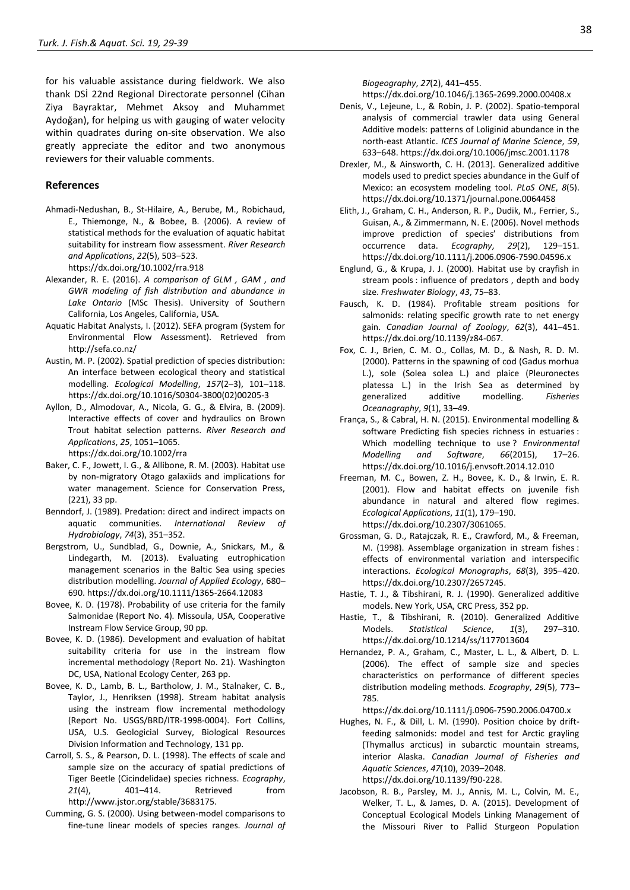for his valuable assistance during fieldwork. We also thank DSİ 22nd Regional Directorate personnel (Cihan Ziya Bayraktar, Mehmet Aksoy and Muhammet Aydoğan), for helping us with gauging of water velocity within quadrates during on-site observation. We also greatly appreciate the editor and two anonymous reviewers for their valuable comments.

### **References**

- Ahmadi-Nedushan, B., St-Hilaire, A., Berube, M., Robichaud, E., Thiemonge, N., & Bobee, B. (2006). A review of statistical methods for the evaluation of aquatic habitat suitability for instream flow assessment. *River Research and Applications*, *22*(5), 503–523. https://dx.doi.org/10.1002/rra.918
- Alexander, R. E. (2016). *A comparison of GLM , GAM , and GWR modeling of fish distribution and abundance in Lake Ontario* (MSc Thesis). University of Southern California, Los Angeles, California, USA.
- Aquatic Habitat Analysts, I. (2012). SEFA program (System for Environmental Flow Assessment). Retrieved from http://sefa.co.nz/
- Austin, M. P. (2002). Spatial prediction of species distribution: An interface between ecological theory and statistical modelling. *Ecological Modelling*, *157*(2–3), 101–118. https://dx.doi.org/10.1016/S0304-3800(02)00205-3
- Ayllon, D., Almodovar, A., Nicola, G. G., & Elvira, B. (2009). Interactive effects of cover and hydraulics on Brown Trout habitat selection patterns. *River Research and Applications*, *25*, 1051–1065. https://dx.doi.org/10.1002/rra
- Baker, C. F., Jowett, I. G., & Allibone, R. M. (2003). Habitat use by non-migratory Otago galaxiids and implications for water management. Science for Conservation Press, (221), 33 pp.
- Benndorf, J. (1989). Predation: direct and indirect impacts on aquatic communities. *International Review of Hydrobiology*, *74*(3), 351–352.
- Bergstrom, U., Sundblad, G., Downie, A., Snickars, M., & Lindegarth, M. (2013). Evaluating eutrophication management scenarios in the Baltic Sea using species distribution modelling. *Journal of Applied Ecology*, 680– 690. https://dx.doi.org/10.1111/1365-2664.12083
- Bovee, K. D. (1978). Probability of use criteria for the family Salmonidae (Report No. 4)*.* Missoula, USA, Cooperative Instream Flow Service Group, 90 pp.
- Bovee, K. D. (1986). Development and evaluation of habitat suitability criteria for use in the instream flow incremental methodology (Report No. 21). Washington DC, USA, National Ecology Center, 263 pp.
- Bovee, K. D., Lamb, B. L., Bartholow, J. M., Stalnaker, C. B., Taylor, J., Henriksen (1998). Stream habitat analysis using the instream flow incremental methodology (Report No. USGS/BRD/ITR-1998-0004). Fort Collins, USA, U.S. Geologicial Survey, Biological Resources Division Information and Technology, 131 pp.
- Carroll, S. S., & Pearson, D. L. (1998). The effects of scale and sample size on the accuracy of spatial predictions of Tiger Beetle (Cicindelidae) species richness. *Ecography*, *21*(4), 401–414. Retrieved from http://www.jstor.org/stable/3683175.
- Cumming, G. S. (2000). Using between-model comparisons to fine-tune linear models of species ranges. *Journal of*

*Biogeography*, *27*(2), 441–455.

https://dx.doi.org/10.1046/j.1365-2699.2000.00408.x

- Denis, V., Lejeune, L., & Robin, J. P. (2002). Spatio-temporal analysis of commercial trawler data using General Additive models: patterns of Loliginid abundance in the north-east Atlantic. *ICES Journal of Marine Science*, *59*, 633–648. https://dx.doi.org/10.1006/jmsc.2001.1178
- Drexler, M., & Ainsworth, C. H. (2013). Generalized additive models used to predict species abundance in the Gulf of Mexico: an ecosystem modeling tool. *PLoS ONE*, *8*(5). https://dx.doi.org/10.1371/journal.pone.0064458
- Elith, J., Graham, C. H., Anderson, R. P., Dudik, M., Ferrier, S., Guisan, A., & Zimmermann, N. E. (2006). Novel methods improve prediction of species' distributions from occurrence data. *Ecography*, *29*(2), 129–151. https://dx.doi.org/10.1111/j.2006.0906-7590.04596.x
- Englund, G., & Krupa, J. J. (2000). Habitat use by crayfish in stream pools : influence of predators , depth and body size. *Freshwater Biology*, *43*, 75–83.
- Fausch, K. D. (1984). Profitable stream positions for salmonids: relating specific growth rate to net energy gain. *Canadian Journal of Zoology*, *62*(3), 441–451. https://dx.doi.org/10.1139/z84-067.
- Fox, C. J., Brien, C. M. O., Collas, M. D., & Nash, R. D. M. (2000). Patterns in the spawning of cod (Gadus morhua L.), sole (Solea solea L.) and plaice (Pleuronectes platessa L.) in the Irish Sea as determined by generalized additive modelling. *Fisheries Oceanography*, *9*(1), 33–49.
- França, S., & Cabral, H. N. (2015). Environmental modelling & software Predicting fish species richness in estuaries : Which modelling technique to use ? *Environmental Modelling and Software*, *66*(2015), 17–26. https://dx.doi.org/10.1016/j.envsoft.2014.12.010
- Freeman, M. C., Bowen, Z. H., Bovee, K. D., & Irwin, E. R. (2001). Flow and habitat effects on juvenile fish abundance in natural and altered flow regimes. *Ecological Applications*, *11*(1), 179–190. https://dx.doi.org/10.2307/3061065.
- Grossman, G. D., Ratajczak, R. E., Crawford, M., & Freeman, M. (1998). Assemblage organization in stream fishes : effects of environmental variation and interspecific interactions. *Ecological Monographs*, *68*(3), 395–420. https://dx.doi.org/10.2307/2657245.
- Hastie, T. J., & Tibshirani, R. J. (1990). Generalized additive models. New York, USA, CRC Press, 352 pp.
- Hastie, T., & Tibshirani, R. (2010). Generalized Additive Models. *Statistical Science*, *1*(3), 297–310. https://dx.doi.org/10.1214/ss/1177013604
- Hernandez, P. A., Graham, C., Master, L. L., & Albert, D. L. (2006). The effect of sample size and species characteristics on performance of different species distribution modeling methods. *Ecography*, *29*(5), 773– 785.

https://dx.doi.org/10.1111/j.0906-7590.2006.04700.x

- Hughes, N. F., & Dill, L. M. (1990). Position choice by driftfeeding salmonids: model and test for Arctic grayling (Thymallus arcticus) in subarctic mountain streams, interior Alaska. *Canadian Journal of Fisheries and Aquatic Sciences*, *47*(10), 2039–2048. https://dx.doi.org/10.1139/f90-228.
- Jacobson, R. B., Parsley, M. J., Annis, M. L., Colvin, M. E., Welker, T. L., & James, D. A. (2015). Development of Conceptual Ecological Models Linking Management of the Missouri River to Pallid Sturgeon Population